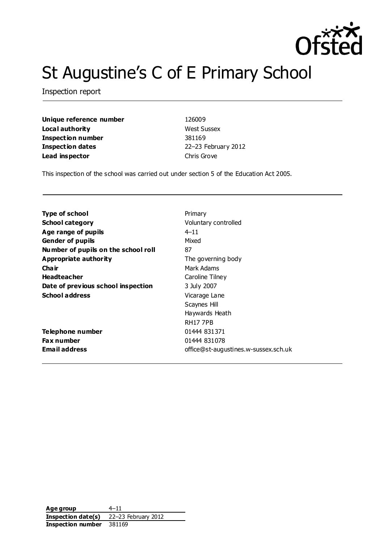

# St Augustine's C of E Primary School

Inspection report

**Unique reference number** 126009 **Local authority** West Sussex **Inspection number** 381169 **Inspection dates** 22–23 February 2012 **Lead inspector** Chris Grove

This inspection of the school was carried out under section 5 of the Education Act 2005.

| Type of school                      | Primary                              |
|-------------------------------------|--------------------------------------|
| <b>School category</b>              | Voluntary controlled                 |
| Age range of pupils                 | $4 - 11$                             |
| <b>Gender of pupils</b>             | Mixed                                |
| Number of pupils on the school roll | 87                                   |
| <b>Appropriate authority</b>        | The governing body                   |
| Cha ir                              | Mark Adams                           |
| <b>Headteacher</b>                  | Caroline Tilney                      |
| Date of previous school inspection  | 3 July 2007                          |
| <b>School address</b>               | Vicarage Lane                        |
|                                     | Scaynes Hill                         |
|                                     | Haywards Heath                       |
|                                     | <b>RH177PB</b>                       |
| Telephone number                    | 01444 831371                         |
| Fax number                          | 01444 831078                         |
| <b>Email address</b>                | office@st-augustines.w-sussex.sch.uk |
|                                     |                                      |

**Age group** 4–11 **Inspection date(s)** 22–23 February 2012 **Inspection number** 381169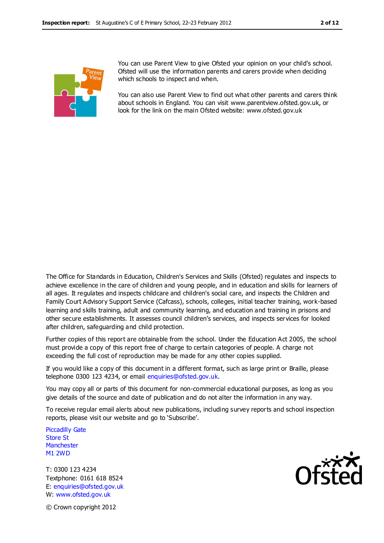

You can use Parent View to give Ofsted your opinion on your child's school. Ofsted will use the information parents and carers provide when deciding which schools to inspect and when.

You can also use Parent View to find out what other parents and carers think about schools in England. You can visit www.parentview.ofsted.gov.uk, or look for the link on the main Ofsted website: www.ofsted.gov.uk

The Office for Standards in Education, Children's Services and Skills (Ofsted) regulates and inspects to achieve excellence in the care of children and young people, and in education and skills for learners of all ages. It regulates and inspects childcare and children's social care, and inspects the Children and Family Court Advisory Support Service (Cafcass), schools, colleges, initial teacher training, work-based learning and skills training, adult and community learning, and education and training in prisons and other secure establishments. It assesses council children's services, and inspects services for looked after children, safeguarding and child protection.

Further copies of this report are obtainable from the school. Under the Education Act 2005, the school must provide a copy of this report free of charge to certain categories of people. A charge not exceeding the full cost of reproduction may be made for any other copies supplied.

If you would like a copy of this document in a different format, such as large print or Braille, please telephone 0300 123 4234, or email enquiries@ofsted.gov.uk.

You may copy all or parts of this document for non-commercial educational purposes, as long as you give details of the source and date of publication and do not alter the information in any way.

To receive regular email alerts about new publications, including survey reports and school inspection reports, please visit our website and go to 'Subscribe'.

Piccadilly Gate Store St **Manchester** M1 2WD

T: 0300 123 4234 Textphone: 0161 618 8524 E: enquiries@ofsted.gov.uk W: www.ofsted.gov.uk



© Crown copyright 2012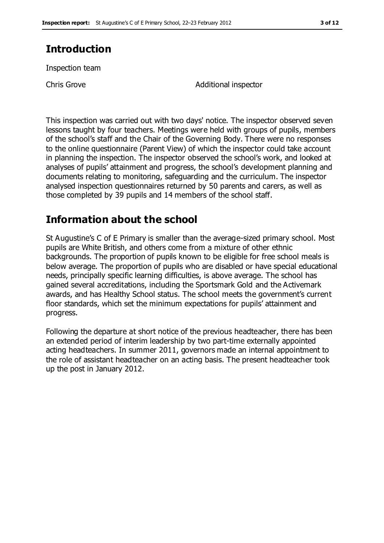# **Introduction**

Inspection team

Chris Grove **Additional** inspector

This inspection was carried out with two days' notice. The inspector observed seven lessons taught by four teachers. Meetings were held with groups of pupils, members of the school's staff and the Chair of the Governing Body. There were no responses to the online questionnaire (Parent View) of which the inspector could take account in planning the inspection. The inspector observed the school's work, and looked at analyses of pupils' attainment and progress, the school's development planning and documents relating to monitoring, safeguarding and the curriculum. The inspector analysed inspection questionnaires returned by 50 parents and carers, as well as those completed by 39 pupils and 14 members of the school staff.

# **Information about the school**

St Augustine's C of E Primary is smaller than the average-sized primary school. Most pupils are White British, and others come from a mixture of other ethnic backgrounds. The proportion of pupils known to be eligible for free school meals is below average. The proportion of pupils who are disabled or have special educational needs, principally specific learning difficulties, is above average. The school has gained several accreditations, including the Sportsmark Gold and the Activemark awards, and has Healthy School status. The school meets the government's current floor standards, which set the minimum expectations for pupils' attainment and progress.

Following the departure at short notice of the previous headteacher, there has been an extended period of interim leadership by two part-time externally appointed acting headteachers. In summer 2011, governors made an internal appointment to the role of assistant headteacher on an acting basis. The present headteacher took up the post in January 2012.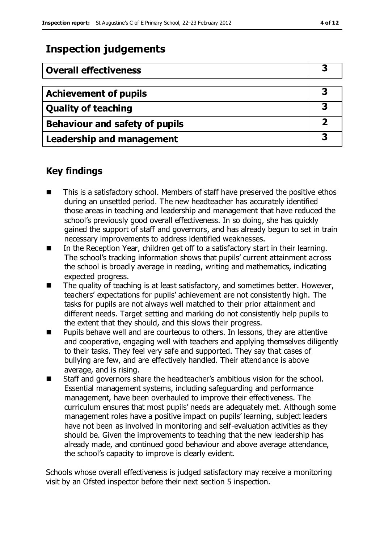# **Inspection judgements**

| <b>Overall effectiveness</b>          |  |
|---------------------------------------|--|
|                                       |  |
| <b>Achievement of pupils</b>          |  |
| <b>Quality of teaching</b>            |  |
| <b>Behaviour and safety of pupils</b> |  |
| <b>Leadership and management</b>      |  |

#### **Key findings**

- This is a satisfactory school. Members of staff have preserved the positive ethos during an unsettled period. The new headteacher has accurately identified those areas in teaching and leadership and management that have reduced the school's previously good overall effectiveness. In so doing, she has quickly gained the support of staff and governors, and has already begun to set in train necessary improvements to address identified weaknesses.
- In the Reception Year, children get off to a satisfactory start in their learning. The school's tracking information shows that pupils' current attainment across the school is broadly average in reading, writing and mathematics, indicating expected progress.
- $\blacksquare$  The quality of teaching is at least satisfactory, and sometimes better. However, teachers' expectations for pupils' achievement are not consistently high. The tasks for pupils are not always well matched to their prior attainment and different needs. Target setting and marking do not consistently help pupils to the extent that they should, and this slows their progress.
- **Pupils behave well and are courteous to others. In lessons, they are attentive** and cooperative, engaging well with teachers and applying themselves diligently to their tasks. They feel very safe and supported. They say that cases of bullying are few, and are effectively handled. Their attendance is above average, and is rising.
- Staff and governors share the headteacher's ambitious vision for the school. Essential management systems, including safeguarding and performance management, have been overhauled to improve their effectiveness. The curriculum ensures that most pupils' needs are adequately met. Although some management roles have a positive impact on pupils' learning, subject leaders have not been as involved in monitoring and self-evaluation activities as they should be. Given the improvements to teaching that the new leadership has already made, and continued good behaviour and above average attendance, the school's capacity to improve is clearly evident.

Schools whose overall effectiveness is judged satisfactory may receive a monitoring visit by an Ofsted inspector before their next section 5 inspection.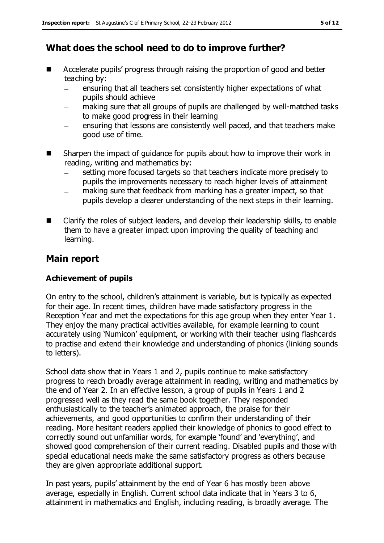# **What does the school need to do to improve further?**

- Accelerate pupils' progress through raising the proportion of good and better teaching by:
	- ensuring that all teachers set consistently higher expectations of what  $\equiv$ pupils should achieve
	- making sure that all groups of pupils are challenged by well-matched tasks to make good progress in their learning
	- ensuring that lessons are consistently well paced, and that teachers make good use of time.
- Sharpen the impact of guidance for pupils about how to improve their work in reading, writing and mathematics by:
	- setting more focused targets so that teachers indicate more precisely to pupils the improvements necessary to reach higher levels of attainment
	- making sure that feedback from marking has a greater impact, so that pupils develop a clearer understanding of the next steps in their learning.
- Clarify the roles of subject leaders, and develop their leadership skills, to enable them to have a greater impact upon improving the quality of teaching and learning.

#### **Main report**

#### **Achievement of pupils**

On entry to the school, children's attainment is variable, but is typically as expected for their age. In recent times, children have made satisfactory progress in the Reception Year and met the expectations for this age group when they enter Year 1. They enjoy the many practical activities available, for example learning to count accurately using 'Numicon' equipment, or working with their teacher using flashcards to practise and extend their knowledge and understanding of phonics (linking sounds to letters).

School data show that in Years 1 and 2, pupils continue to make satisfactory progress to reach broadly average attainment in reading, writing and mathematics by the end of Year 2. In an effective lesson, a group of pupils in Years 1 and 2 progressed well as they read the same book together. They responded enthusiastically to the teacher's animated approach, the praise for their achievements, and good opportunities to confirm their understanding of their reading. More hesitant readers applied their knowledge of phonics to good effect to correctly sound out unfamiliar words, for example 'found' and 'everything', and showed good comprehension of their current reading. Disabled pupils and those with special educational needs make the same satisfactory progress as others because they are given appropriate additional support.

In past years, pupils' attainment by the end of Year 6 has mostly been above average, especially in English. Current school data indicate that in Years 3 to 6, attainment in mathematics and English, including reading, is broadly average. The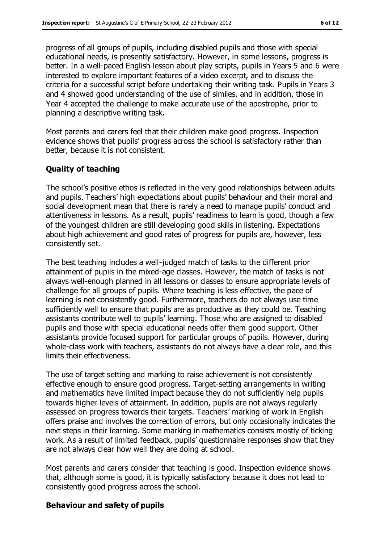progress of all groups of pupils, including disabled pupils and those with special educational needs, is presently satisfactory. However, in some lessons, progress is better. In a well-paced English lesson about play scripts, pupils in Years 5 and 6 were interested to explore important features of a video excerpt, and to discuss the criteria for a successful script before undertaking their writing task. Pupils in Years 3 and 4 showed good understanding of the use of similes, and in addition, those in Year 4 accepted the challenge to make accurate use of the apostrophe, prior to planning a descriptive writing task.

Most parents and carers feel that their children make good progress. Inspection evidence shows that pupils' progress across the school is satisfactory rather than better, because it is not consistent.

#### **Quality of teaching**

The school's positive ethos is reflected in the very good relationships between adults and pupils. Teachers' high expectations about pupils' behaviour and their moral and social development mean that there is rarely a need to manage pupils' conduct and attentiveness in lessons. As a result, pupils' readiness to learn is good, though a few of the youngest children are still developing good skills in listening. Expectations about high achievement and good rates of progress for pupils are, however, less consistently set.

The best teaching includes a well-judged match of tasks to the different prior attainment of pupils in the mixed-age classes. However, the match of tasks is not always well-enough planned in all lessons or classes to ensure appropriate levels of challenge for all groups of pupils. Where teaching is less effective, the pace of learning is not consistently good. Furthermore, teachers do not always use time sufficiently well to ensure that pupils are as productive as they could be. Teaching assistants contribute well to pupils' learning. Those who are assigned to disabled pupils and those with special educational needs offer them good support. Other assistants provide focused support for particular groups of pupils. However, during whole-class work with teachers, assistants do not always have a clear role, and this limits their effectiveness.

The use of target setting and marking to raise achievement is not consistently effective enough to ensure good progress. Target-setting arrangements in writing and mathematics have limited impact because they do not sufficiently help pupils towards higher levels of attainment. In addition, pupils are not always regularly assessed on progress towards their targets. Teachers' marking of work in English offers praise and involves the correction of errors, but only occasionally indicates the next steps in their learning. Some marking in mathematics consists mostly of ticking work. As a result of limited feedback, pupils' questionnaire responses show that they are not always clear how well they are doing at school.

Most parents and carers consider that teaching is good. Inspection evidence shows that, although some is good, it is typically satisfactory because it does not lead to consistently good progress across the school.

#### **Behaviour and safety of pupils**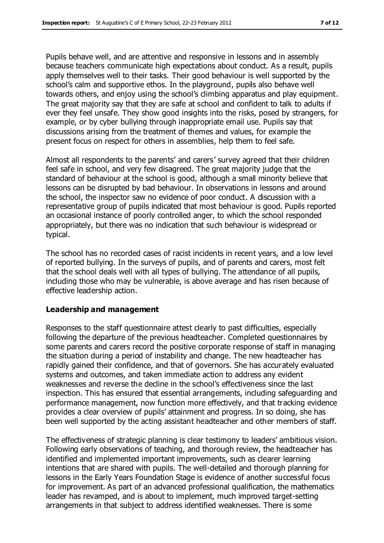Pupils behave well, and are attentive and responsive in lessons and in assembly because teachers communicate high expectations about conduct. As a result, pupils apply themselves well to their tasks. Their good behaviour is well supported by the school's calm and supportive ethos. In the playground, pupils also behave well towards others, and enjoy using the school's climbing apparatus and play equipment. The great majority say that they are safe at school and confident to talk to adults if ever they feel unsafe. They show good insights into the risks, posed by strangers, for example, or by cyber bullying through inappropriate email use. Pupils say that discussions arising from the treatment of themes and values, for example the present focus on respect for others in assemblies, help them to feel safe.

Almost all respondents to the parents' and carers' survey agreed that their children feel safe in school, and very few disagreed. The great majority judge that the standard of behaviour at the school is good, although a small minority believe that lessons can be disrupted by bad behaviour. In observations in lessons and around the school, the inspector saw no evidence of poor conduct. A discussion with a representative group of pupils indicated that most behaviour is good. Pupils reported an occasional instance of poorly controlled anger, to which the school responded appropriately, but there was no indication that such behaviour is widespread or typical.

The school has no recorded cases of racist incidents in recent years, and a low level of reported bullying. In the surveys of pupils, and of parents and carers, most felt that the school deals well with all types of bullying. The attendance of all pupils, including those who may be vulnerable, is above average and has risen because of effective leadership action.

#### **Leadership and management**

Responses to the staff questionnaire attest clearly to past difficulties, especially following the departure of the previous headteacher. Completed questionnaires by some parents and carers record the positive corporate response of staff in managing the situation during a period of instability and change. The new headteacher has rapidly gained their confidence, and that of governors. She has accurately evaluated systems and outcomes, and taken immediate action to address any evident weaknesses and reverse the decline in the school's effectiveness since the last inspection. This has ensured that essential arrangements, including safeguarding and performance management, now function more effectively, and that tracking evidence provides a clear overview of pupils' attainment and progress. In so doing, she has been well supported by the acting assistant headteacher and other members of staff.

The effectiveness of strategic planning is clear testimony to leaders' ambitious vision. Following early observations of teaching, and thorough review, the headteacher has identified and implemented important improvements, such as clearer learning intentions that are shared with pupils. The well-detailed and thorough planning for lessons in the Early Years Foundation Stage is evidence of another successful focus for improvement. As part of an advanced professional qualification, the mathematics leader has revamped, and is about to implement, much improved target-setting arrangements in that subject to address identified weaknesses. There is some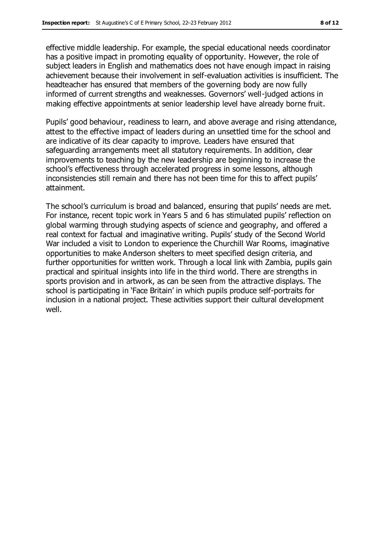effective middle leadership. For example, the special educational needs coordinator has a positive impact in promoting equality of opportunity. However, the role of subject leaders in English and mathematics does not have enough impact in raising achievement because their involvement in self-evaluation activities is insufficient. The headteacher has ensured that members of the governing body are now fully informed of current strengths and weaknesses. Governors' well-judged actions in making effective appointments at senior leadership level have already borne fruit.

Pupils' good behaviour, readiness to learn, and above average and rising attendance, attest to the effective impact of leaders during an unsettled time for the school and are indicative of its clear capacity to improve. Leaders have ensured that safeguarding arrangements meet all statutory requirements. In addition, clear improvements to teaching by the new leadership are beginning to increase the school's effectiveness through accelerated progress in some lessons, although inconsistencies still remain and there has not been time for this to affect pupils' attainment.

The school's curriculum is broad and balanced, ensuring that pupils' needs are met. For instance, recent topic work in Years 5 and 6 has stimulated pupils' reflection on global warming through studying aspects of science and geography, and offered a real context for factual and imaginative writing. Pupils' study of the Second World War included a visit to London to experience the Churchill War Rooms, imaginative opportunities to make Anderson shelters to meet specified design criteria, and further opportunities for written work. Through a local link with Zambia, pupils gain practical and spiritual insights into life in the third world. There are strengths in sports provision and in artwork, as can be seen from the attractive displays. The school is participating in 'Face Britain' in which pupils produce self-portraits for inclusion in a national project. These activities support their cultural development well.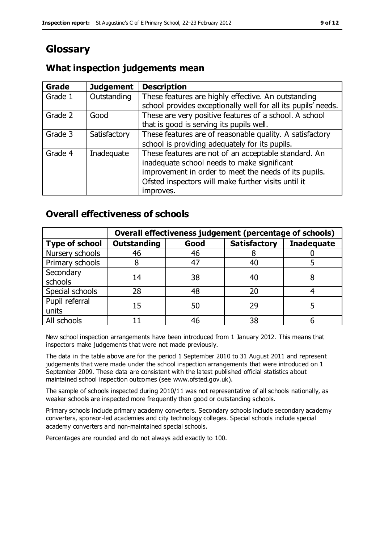# **Glossary**

### **What inspection judgements mean**

| Grade   | <b>Judgement</b> | <b>Description</b>                                                                                                                                                                                                               |
|---------|------------------|----------------------------------------------------------------------------------------------------------------------------------------------------------------------------------------------------------------------------------|
| Grade 1 | Outstanding      | These features are highly effective. An outstanding<br>school provides exceptionally well for all its pupils' needs.                                                                                                             |
| Grade 2 | Good             | These are very positive features of a school. A school<br>that is good is serving its pupils well.                                                                                                                               |
| Grade 3 | Satisfactory     | These features are of reasonable quality. A satisfactory<br>school is providing adequately for its pupils.                                                                                                                       |
| Grade 4 | Inadequate       | These features are not of an acceptable standard. An<br>inadequate school needs to make significant<br>improvement in order to meet the needs of its pupils.<br>Ofsted inspectors will make further visits until it<br>improves. |

### **Overall effectiveness of schools**

|                         | Overall effectiveness judgement (percentage of schools) |      |                     |                   |
|-------------------------|---------------------------------------------------------|------|---------------------|-------------------|
| <b>Type of school</b>   | <b>Outstanding</b>                                      | Good | <b>Satisfactory</b> | <b>Inadequate</b> |
| Nursery schools         | 46                                                      | 46   |                     |                   |
| Primary schools         |                                                         | 47   | 40                  |                   |
| Secondary<br>schools    | 14                                                      | 38   | 40                  |                   |
| Special schools         | 28                                                      | 48   | 20                  |                   |
| Pupil referral<br>units | 15                                                      | 50   | 29                  |                   |
| All schools             |                                                         | 46   | 38                  |                   |

New school inspection arrangements have been introduced from 1 January 2012. This means that inspectors make judgements that were not made previously.

The data in the table above are for the period 1 September 2010 to 31 August 2011 and represent judgements that were made under the school inspection arrangements that were introduced on 1 September 2009. These data are consistent with the latest published official statistics about maintained school inspection outcomes (see www.ofsted.gov.uk).

The sample of schools inspected during 2010/11 was not representative of all schools nationally, as weaker schools are inspected more frequently than good or outstanding schools.

Primary schools include primary academy converters. Secondary schools include secondary academy converters, sponsor-led academies and city technology colleges. Special schools include special academy converters and non-maintained special schools.

Percentages are rounded and do not always add exactly to 100.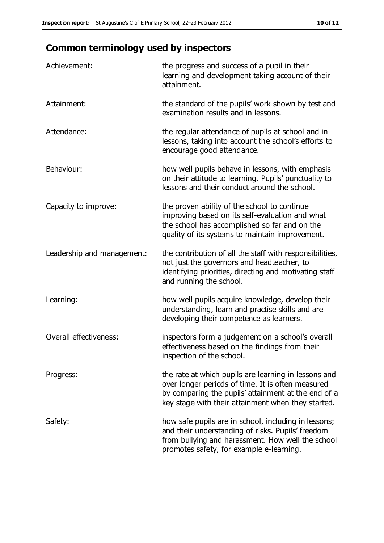# **Common terminology used by inspectors**

| Achievement:               | the progress and success of a pupil in their<br>learning and development taking account of their<br>attainment.                                                                                                        |
|----------------------------|------------------------------------------------------------------------------------------------------------------------------------------------------------------------------------------------------------------------|
| Attainment:                | the standard of the pupils' work shown by test and<br>examination results and in lessons.                                                                                                                              |
| Attendance:                | the regular attendance of pupils at school and in<br>lessons, taking into account the school's efforts to<br>encourage good attendance.                                                                                |
| Behaviour:                 | how well pupils behave in lessons, with emphasis<br>on their attitude to learning. Pupils' punctuality to<br>lessons and their conduct around the school.                                                              |
| Capacity to improve:       | the proven ability of the school to continue<br>improving based on its self-evaluation and what<br>the school has accomplished so far and on the<br>quality of its systems to maintain improvement.                    |
| Leadership and management: | the contribution of all the staff with responsibilities,<br>not just the governors and headteacher, to<br>identifying priorities, directing and motivating staff<br>and running the school.                            |
| Learning:                  | how well pupils acquire knowledge, develop their<br>understanding, learn and practise skills and are<br>developing their competence as learners.                                                                       |
| Overall effectiveness:     | inspectors form a judgement on a school's overall<br>effectiveness based on the findings from their<br>inspection of the school.                                                                                       |
| Progress:                  | the rate at which pupils are learning in lessons and<br>over longer periods of time. It is often measured<br>by comparing the pupils' attainment at the end of a<br>key stage with their attainment when they started. |
| Safety:                    | how safe pupils are in school, including in lessons;<br>and their understanding of risks. Pupils' freedom<br>from bullying and harassment. How well the school<br>promotes safety, for example e-learning.             |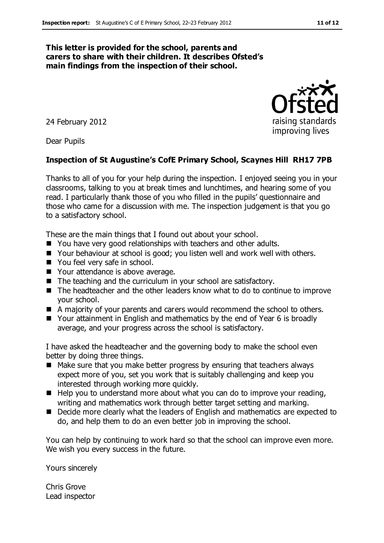#### **This letter is provided for the school, parents and carers to share with their children. It describes Ofsted's main findings from the inspection of their school.**

24 February 2012

Dear Pupils

#### **Inspection of St Augustine's CofE Primary School, Scaynes Hill RH17 7PB**

Thanks to all of you for your help during the inspection. I enjoyed seeing you in your classrooms, talking to you at break times and lunchtimes, and hearing some of you read. I particularly thank those of you who filled in the pupils' questionnaire and those who came for a discussion with me. The inspection judgement is that you go to a satisfactory school.

These are the main things that I found out about your school.

- You have very good relationships with teachers and other adults.
- Your behaviour at school is good; you listen well and work well with others.
- You feel very safe in school.
- Your attendance is above average.
- $\blacksquare$  The teaching and the curriculum in your school are satisfactory.
- The headteacher and the other leaders know what to do to continue to improve your school.
- A majority of your parents and carers would recommend the school to others.
- Your attainment in English and mathematics by the end of Year 6 is broadly average, and your progress across the school is satisfactory.

I have asked the headteacher and the governing body to make the school even better by doing three things.

- Make sure that you make better progress by ensuring that teachers always expect more of you, set you work that is suitably challenging and keep you interested through working more quickly.
- $\blacksquare$  Help you to understand more about what you can do to improve your reading, writing and mathematics work through better target setting and marking.
- Decide more clearly what the leaders of English and mathematics are expected to do, and help them to do an even better job in improving the school.

You can help by continuing to work hard so that the school can improve even more. We wish you every success in the future.

Yours sincerely

Chris Grove Lead inspector